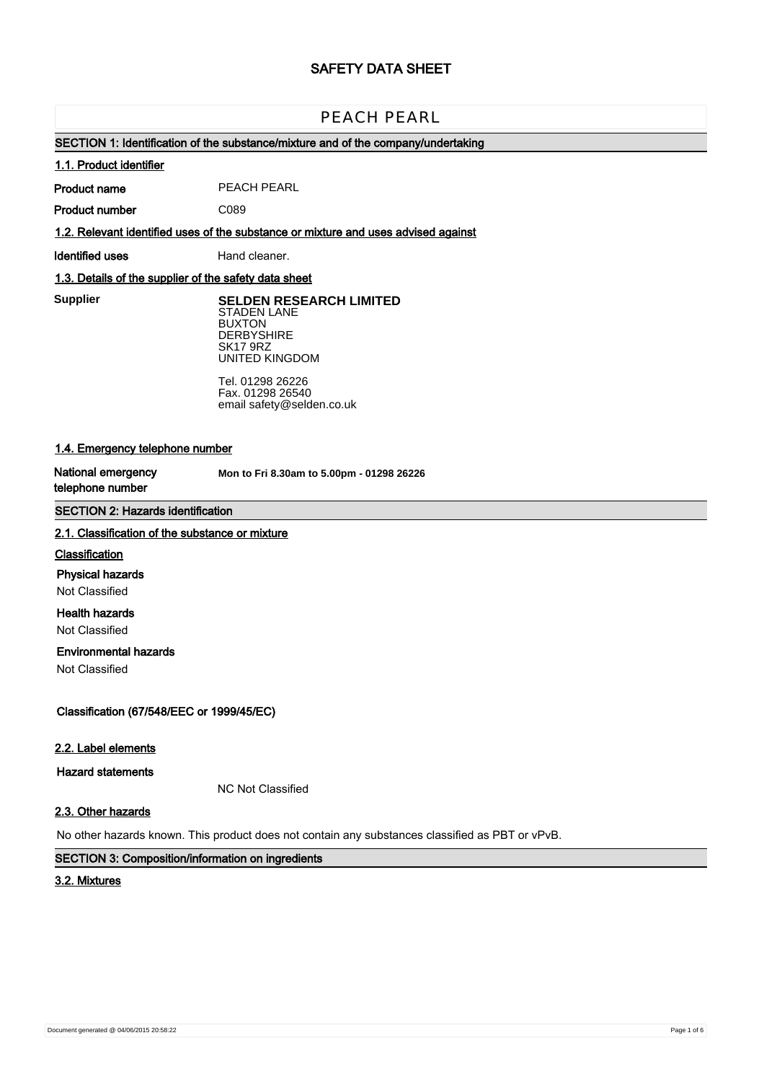# **SAFETY DATA SHEET**

# **PEACH PEARL** PEACH PEARL

## **SECTION 1: Identification of the substance/mixture and of the company/undertaking**

#### **1.1. Product identifier**

**Product name** PEACH PEARL

**Product number** C089

**1.2. Relevant identified uses of the substance or mixture and uses advised against**

**Identified uses** Hand cleaner.

## **1.3. Details of the supplier of the safety data sheet**

**Manufacturer** Selden Research Ltd **Supplier SELDEN RESEARCH LIMITED** STADEN LANE<br>BUXTON DERBYSHIRE SK17 9RZ UNITED KINGDOM BUXTON

> Tel. 01298 26226 Fax. 01298 26540 email safety@selden.co.uk

## **1.4. Emergency telephone number**

**National emergency telephone number**

Mon to Fri 8.30am to 5.00pm - 01298 26226

## **SECTION 2: Hazards identification**

#### **2.1. Classification of the substance or mixture**

#### **Classification**

**Physical hazards**

Not Classified

## **Health hazards**

Not Classified

## **Environmental hazards**

Not Classified

**Classification (67/548/EEC or 1999/45/EC)**

#### **2.2. Label elements**

**Hazard statements**

NC Not Classified

## **2.3. Other hazards**

No other hazards known. This product does not contain any substances classified as PBT or vPvB.

## **SECTION 3: Composition/information on ingredients**

## **3.2. Mixtures**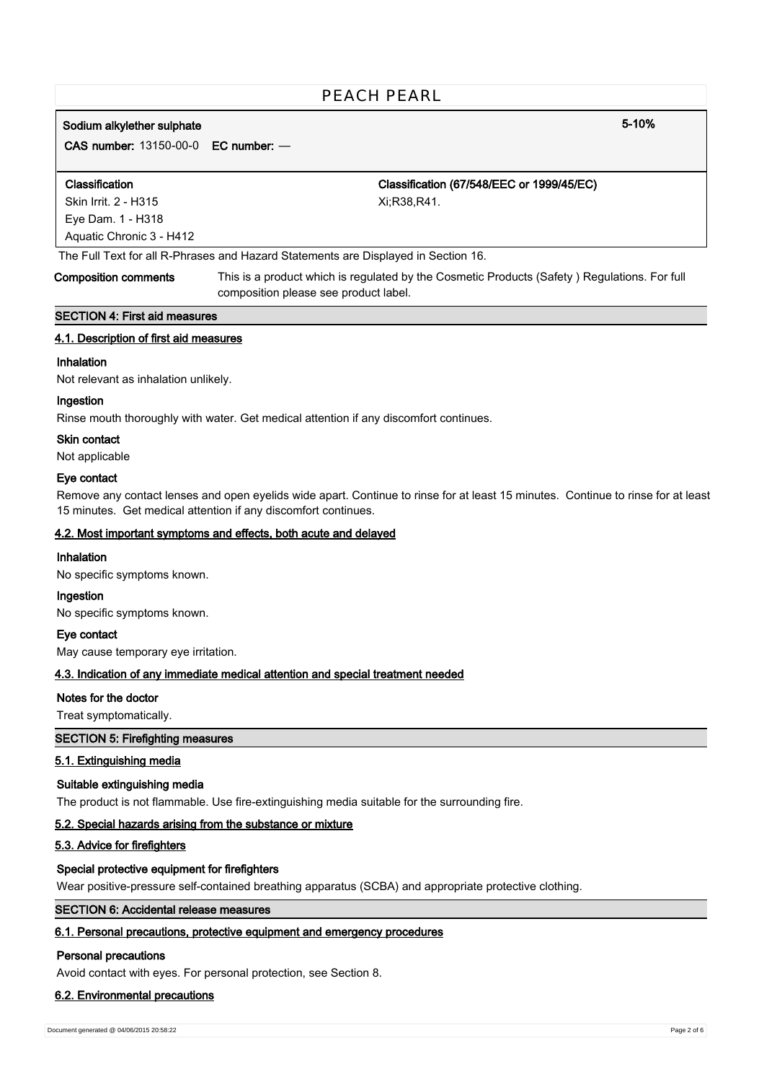# **Sodium alkylether sulphate 5-10%**

**CAS number:** 13150-00-0 **EC number:** —

| <b>Classification</b>    | Classification (67/548/EEC or 1999/45/EC) |
|--------------------------|-------------------------------------------|
| Skin Irrit. 2 - H315     | Xi:R38.R41.                               |
| Eye Dam. 1 - H318        |                                           |
| Aquatic Chronic 3 - H412 |                                           |

The Full Text for all R-Phrases and Hazard Statements are Displayed in Section 16.

**Composition comments** This is a product which is regulated by the Cosmetic Products (Safety ) Regulations. For full composition please see product label.

## **SECTION 4: First aid measures**

## **4.1. Description of first aid measures**

## **Inhalation**

Not relevant as inhalation unlikely.

## **Ingestion**

Rinse mouth thoroughly with water. Get medical attention if any discomfort continues.

### **Skin contact**

Not applicable

### **Eye contact**

Remove any contact lenses and open eyelids wide apart. Continue to rinse for at least 15 minutes. Continue to rinse for at least 15 minutes. Get medical attention if any discomfort continues.

## **4.2. Most important symptoms and effects, both acute and delayed**

## **Inhalation**

No specific symptoms known.

#### **Ingestion**

No specific symptoms known.

**Eye contact**

May cause temporary eye irritation.

## **4.3. Indication of any immediate medical attention and special treatment needed**

## **Notes for the doctor**

Treat symptomatically.

## **SECTION 5: Firefighting measures**

## **5.1. Extinguishing media**

## **Suitable extinguishing media**

The product is not flammable. Use fire-extinguishing media suitable for the surrounding fire.

## **5.2. Special hazards arising from the substance or mixture**

## **5.3. Advice for firefighters**

## **Special protective equipment for firefighters**

Wear positive-pressure self-contained breathing apparatus (SCBA) and appropriate protective clothing.

## **SECTION 6: Accidental release measures**

# **6.1. Personal precautions, protective equipment and emergency procedures**

## **Personal precautions**

Avoid contact with eyes. For personal protection, see Section 8.

## **6.2. Environmental precautions**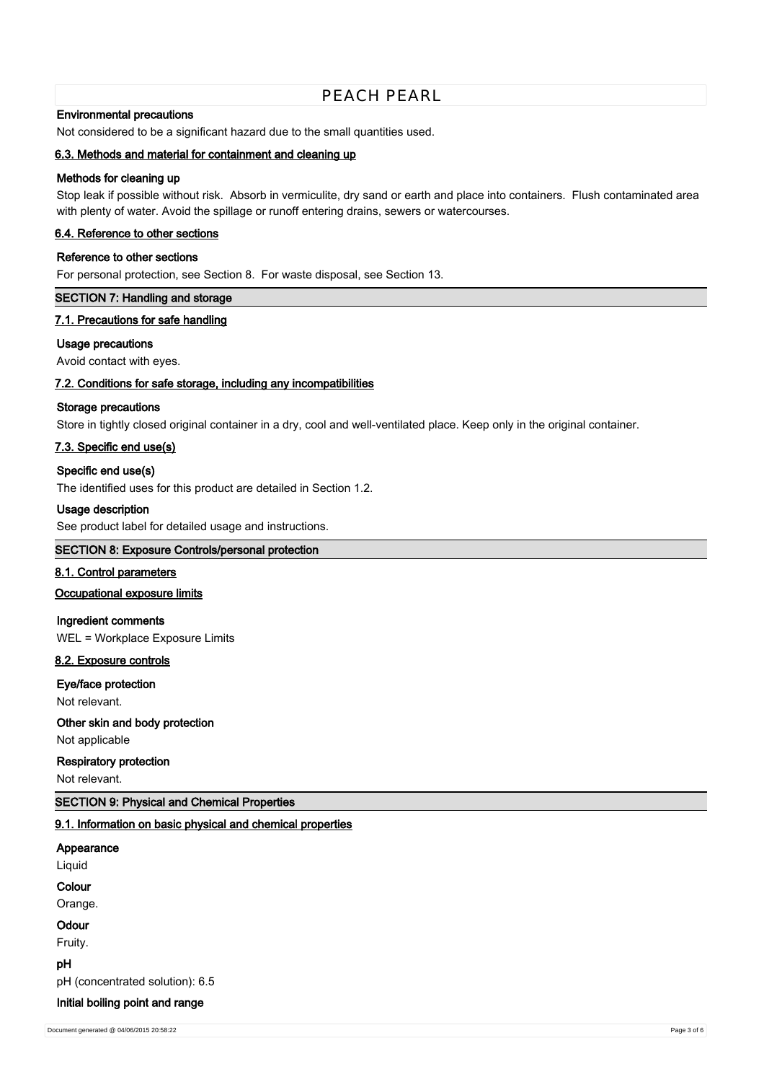## **Environmental precautions**

Not considered to be a significant hazard due to the small quantities used.

### **6.3. Methods and material for containment and cleaning up**

## **Methods for cleaning up**

Stop leak if possible without risk. Absorb in vermiculite, dry sand or earth and place into containers. Flush contaminated area with plenty of water. Avoid the spillage or runoff entering drains, sewers or watercourses.

#### **6.4. Reference to other sections**

#### **Reference to other sections**

For personal protection, see Section 8. For waste disposal, see Section 13.

#### **SECTION 7: Handling and storage**

#### **7.1. Precautions for safe handling**

#### **Usage precautions**

Avoid contact with eyes.

#### **7.2. Conditions for safe storage, including any incompatibilities**

#### **Storage precautions**

Store in tightly closed original container in a dry, cool and well-ventilated place. Keep only in the original container.

#### **7.3. Specific end use(s)**

#### **Specific end use(s)**

The identified uses for this product are detailed in Section 1.2.

#### **Usage description**

See product label for detailed usage and instructions.

## **SECTION 8: Exposure Controls/personal protection**

## **8.1. Control parameters**

#### **Occupational exposure limits**

**Ingredient comments** WEL = Workplace Exposure Limits

#### **8.2. Exposure controls**

#### **Eye/face protection**

Not relevant.

**Other skin and body protection**

# Not applicable

**Respiratory protection**

Not relevant.

## **SECTION 9: Physical and Chemical Properties**

#### **9.1. Information on basic physical and chemical properties**

## **Appearance**

Liquid

#### **Colour**

Orange.

# **Odour**

Fruity.

#### **pH**

pH (concentrated solution): 6.5

#### **Initial boiling point and range**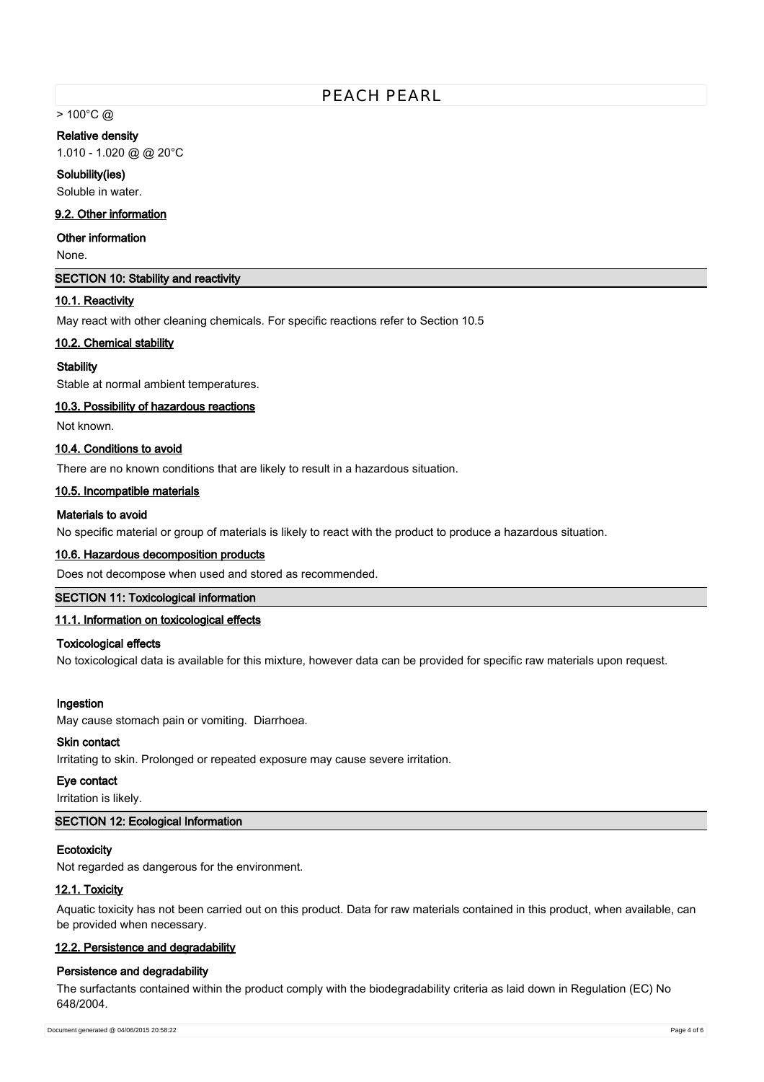$> 100^{\circ}$ C @

#### **Relative density**

1.010 - 1.020 @ @ 20°C

**Solubility(ies)** Soluble in water.

## **9.2. Other information**

## **Other information**

None.

### **SECTION 10: Stability and reactivity**

#### **10.1. Reactivity**

May react with other cleaning chemicals. For specific reactions refer to Section 10.5

#### **10.2. Chemical stability**

### **Stability**

Stable at normal ambient temperatures.

## **10.3. Possibility of hazardous reactions**

Not known.

## **10.4. Conditions to avoid**

There are no known conditions that are likely to result in a hazardous situation.

#### **10.5. Incompatible materials**

## **Materials to avoid**

No specific material or group of materials is likely to react with the product to produce a hazardous situation.

## **10.6. Hazardous decomposition products**

Does not decompose when used and stored as recommended.

## **SECTION 11: Toxicological information**

#### **11.1. Information on toxicological effects**

## **Toxicological effects**

No toxicological data is available for this mixture, however data can be provided for specific raw materials upon request.

#### **Ingestion**

May cause stomach pain or vomiting. Diarrhoea.

## **Skin contact**

Irritating to skin. Prolonged or repeated exposure may cause severe irritation.

## **Eye contact**

Irritation is likely.

## **SECTION 12: Ecological Information**

## **Ecotoxicity**

Not regarded as dangerous for the environment.

#### **12.1. Toxicity**

Aquatic toxicity has not been carried out on this product. Data for raw materials contained in this product, when available, can be provided when necessary.

## **12.2. Persistence and degradability**

#### **Persistence and degradability**

The surfactants contained within the product comply with the biodegradability criteria as laid down in Regulation (EC) No 648/2004.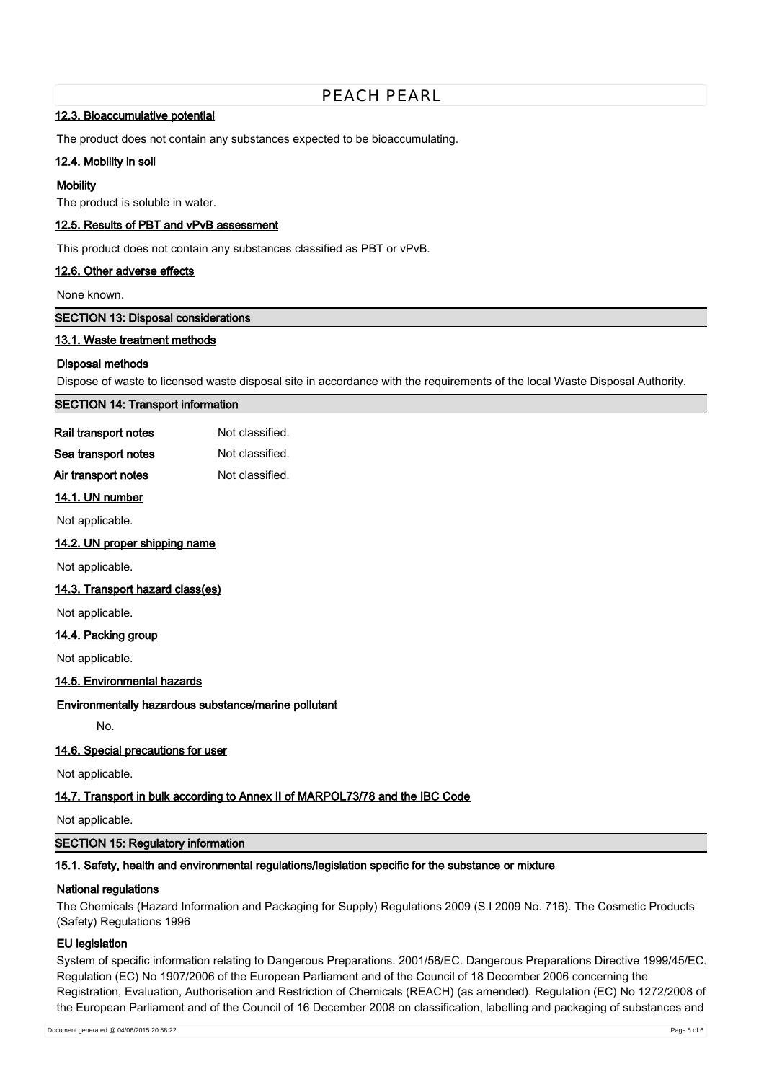#### **12.3. Bioaccumulative potential**

The product does not contain any substances expected to be bioaccumulating.

## **12.4. Mobility in soil**

#### **Mobility**

The product is soluble in water.

## **12.5. Results of PBT and vPvB assessment**

This product does not contain any substances classified as PBT or vPvB.

#### **12.6. Other adverse effects**

#### None known.

**SECTION 13: Disposal considerations**

#### **13.1. Waste treatment methods**

### **Disposal methods**

Dispose of waste to licensed waste disposal site in accordance with the requirements of the local Waste Disposal Authority.

| <b>SECTION 14: Transport information</b> |
|------------------------------------------|
|------------------------------------------|

| Rail transport notes | Not classified. |
|----------------------|-----------------|
| Sea transport notes  | Not classified. |
| Air transport notes  | Not classified. |

#### **14.1. UN number**

Not applicable.

#### **14.2. UN proper shipping name**

Not applicable.

#### **14.3. Transport hazard class(es)**

Not applicable.

### **14.4. Packing group**

Not applicable.

## **14.5. Environmental hazards**

#### **Environmentally hazardous substance/marine pollutant**

No.

## **14.6. Special precautions for user**

Not applicable.

#### **14.7. Transport in bulk according to Annex II of MARPOL73/78 and the IBC Code**

Not applicable.

#### **SECTION 15: Regulatory information**

## **15.1. Safety, health and environmental regulations/legislation specific for the substance or mixture**

#### **National regulations**

The Chemicals (Hazard Information and Packaging for Supply) Regulations 2009 (S.I 2009 No. 716). The Cosmetic Products (Safety) Regulations 1996

#### **EU legislation**

System of specific information relating to Dangerous Preparations. 2001/58/EC. Dangerous Preparations Directive 1999/45/EC. Regulation (EC) No 1907/2006 of the European Parliament and of the Council of 18 December 2006 concerning the Registration, Evaluation, Authorisation and Restriction of Chemicals (REACH) (as amended). Regulation (EC) No 1272/2008 of the European Parliament and of the Council of 16 December 2008 on classification, labelling and packaging of substances and